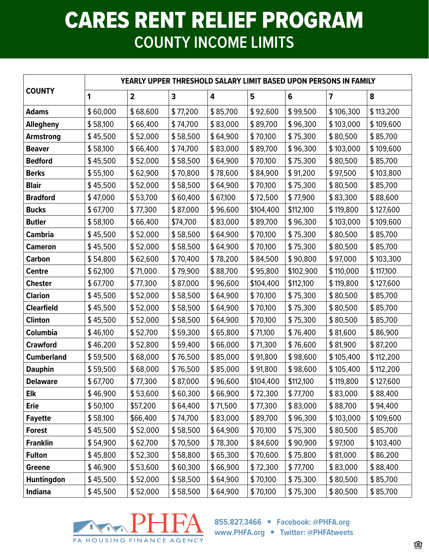## CARES RENT RELIEF PROGRAM **COUNTY INCOME LIMITS**

| <b>COUNTY</b>     | YEARLY UPPER THRESHOLD SALARY LIMIT BASED UPON PERSONS IN FAMILY |                         |          |          |           |           |                         |           |  |  |
|-------------------|------------------------------------------------------------------|-------------------------|----------|----------|-----------|-----------|-------------------------|-----------|--|--|
|                   | 1                                                                | $\overline{\mathbf{2}}$ | 3        | 4        | 5         | 6         | $\overline{\mathbf{z}}$ | 8         |  |  |
| <b>Adams</b>      | \$60,000                                                         | \$68,600                | \$77,200 | \$85,700 | \$92,600  | \$99,500  | \$106,300               | \$113,200 |  |  |
| Allegheny         | \$58,100                                                         | \$66,400                | \$74,700 | \$83,000 | \$89,700  | \$96,300  | \$103,000               | \$109,600 |  |  |
| <b>Armstrong</b>  | \$45,500                                                         | \$52,000                | \$58,500 | \$64,900 | \$70,100  | \$75,300  | \$80,500                | \$85,700  |  |  |
| <b>Beaver</b>     | \$58,100                                                         | \$66,400                | \$74,700 | \$83,000 | \$89,700  | \$96,300  | \$103,000               | \$109,600 |  |  |
| <b>Bedford</b>    | \$45,500                                                         | \$52,000                | \$58,500 | \$64,900 | \$70,100  | \$75,300  | \$80,500                | \$85,700  |  |  |
| <b>Berks</b>      | \$55,100                                                         | \$62,900                | \$70,800 | \$78,600 | \$84,900  | \$91,200  | \$97,500                | \$103,800 |  |  |
| <b>Blair</b>      | \$45,500                                                         | \$52,000                | \$58,500 | \$64,900 | \$70,100  | \$75,300  | \$80,500                | \$85,700  |  |  |
| <b>Bradford</b>   | \$47,000                                                         | \$53,700                | \$60,400 | \$67,100 | \$72,500  | \$77,900  | \$83,300                | \$88,600  |  |  |
| <b>Bucks</b>      | \$67,700                                                         | \$77,300                | \$87,000 | \$96,600 | \$104,400 | \$112,100 | \$119,800               | \$127,600 |  |  |
| <b>Butler</b>     | \$58,100                                                         | \$66,400                | \$74,700 | \$83,000 | \$89,700  | \$96,300  | \$103,000               | \$109,600 |  |  |
| <b>Cambria</b>    | \$45,500                                                         | \$52,000                | \$58,500 | \$64,900 | \$70,100  | \$75,300  | \$80,500                | \$85,700  |  |  |
| <b>Cameron</b>    | \$45,500                                                         | \$52,000                | \$58,500 | \$64,900 | \$70,100  | \$75,300  | \$80,500                | \$85,700  |  |  |
| <b>Carbon</b>     | \$54,800                                                         | \$62,600                | \$70,400 | \$78,200 | \$84,500  | \$90,800  | \$97,000                | \$103,300 |  |  |
| <b>Centre</b>     | \$62,100                                                         | \$71,000                | \$79,900 | \$88,700 | \$95,800  | \$102,900 | \$110,000               | \$117,100 |  |  |
| <b>Chester</b>    | \$67,700                                                         | \$77,300                | \$87,000 | \$96,600 | \$104,400 | \$112,100 | \$119,800               | \$127,600 |  |  |
| <b>Clarion</b>    | \$45,500                                                         | \$52,000                | \$58,500 | \$64,900 | \$70,100  | \$75,300  | \$80,500                | \$85,700  |  |  |
| <b>Clearfield</b> | \$45,500                                                         | \$52,000                | \$58,500 | \$64,900 | \$70,100  | \$75,300  | \$80,500                | \$85,700  |  |  |
| <b>Clinton</b>    | \$45,500                                                         | \$52,000                | \$58,500 | \$64,900 | \$70,100  | \$75,300  | \$80,500                | \$85,700  |  |  |
| Columbia          | \$46,100                                                         | \$52,700                | \$59,300 | \$65,800 | \$71,100  | \$76,400  | \$81,600                | \$86,900  |  |  |
| <b>Crawford</b>   | \$46,200                                                         | \$52,800                | \$59,400 | \$66,000 | \$71,300  | \$76,600  | \$81,900                | \$87,200  |  |  |
| <b>Cumberland</b> | \$59,500                                                         | \$68,000                | \$76,500 | \$85,000 | \$91,800  | \$98,600  | \$105,400               | \$112,200 |  |  |
| <b>Dauphin</b>    | \$59,500                                                         | \$68,000                | \$76,500 | \$85,000 | \$91,800  | \$98,600  | \$105,400               | \$112,200 |  |  |
| <b>Delaware</b>   | \$67,700                                                         | \$77,300                | \$87,000 | \$96,600 | \$104,400 | \$112,100 | \$119,800               | \$127,600 |  |  |
| Elk               | \$46,900                                                         | \$53,600                | \$60,300 | \$66,900 | \$72,300  | \$77,700  | \$83,000                | \$88,400  |  |  |
| <b>Erie</b>       | \$50,100                                                         | \$57,200                | \$64,400 | \$71,500 | \$77,300  | \$83,000  | \$88,700                | \$94,400  |  |  |
| <b>Fayette</b>    | \$58,100                                                         | \$66,400                | \$74,700 | \$83,000 | \$89,700  | \$96,300  | \$103,000               | \$109,600 |  |  |
| <b>Forest</b>     | \$45,500                                                         | \$52,000                | \$58,500 | \$64,900 | \$70,100  | \$75,300  | \$80,500                | \$85,700  |  |  |
| <b>Franklin</b>   | \$54,900                                                         | \$62,700                | \$70,500 | \$78,300 | \$84,600  | \$90,900  | \$97,100                | \$103,400 |  |  |
| <b>Fulton</b>     | \$45,800                                                         | \$52,300                | \$58,800 | \$65,300 | \$70,600  | \$75,800  | \$81,000                | \$86,200  |  |  |
| Greene            | \$46,900                                                         | \$53,600                | \$60,300 | \$66,900 | \$72,300  | \$77,700  | \$83,000                | \$88,400  |  |  |
| <b>Huntingdon</b> | \$45,500                                                         | \$52,000                | \$58,500 | \$64,900 | \$70,100  | \$75,300  | \$80,500                | \$85,700  |  |  |
| <b>Indiana</b>    | \$45,500                                                         | \$52,000                | \$58,500 | \$64,900 | \$70,100  | \$75,300  | \$80,500                | \$85,700  |  |  |



**855.827.3466 Facebook: @PHFA.org www.PHFA.org Twitter: @PHFAtweets**